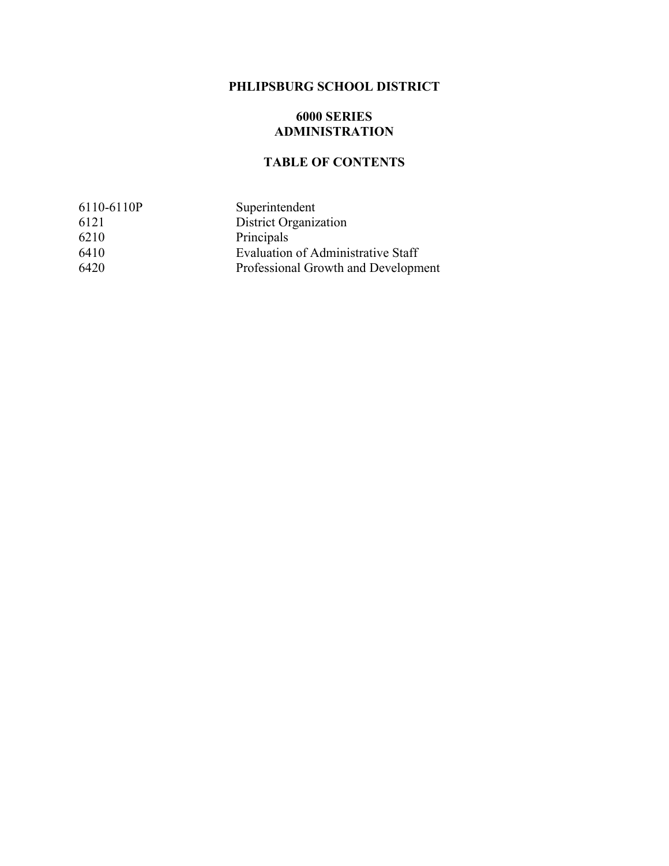## **PHLIPSBURG SCHOOL DISTRICT**

#### **6000 SERIES ADMINISTRATION**

## **TABLE OF CONTENTS**

| 6110-6110P | Superintendent                      |
|------------|-------------------------------------|
| 6121       | <b>District Organization</b>        |
| 6210       | Principals                          |
| 6410       | Evaluation of Administrative Staff  |
| 6420       | Professional Growth and Development |
|            |                                     |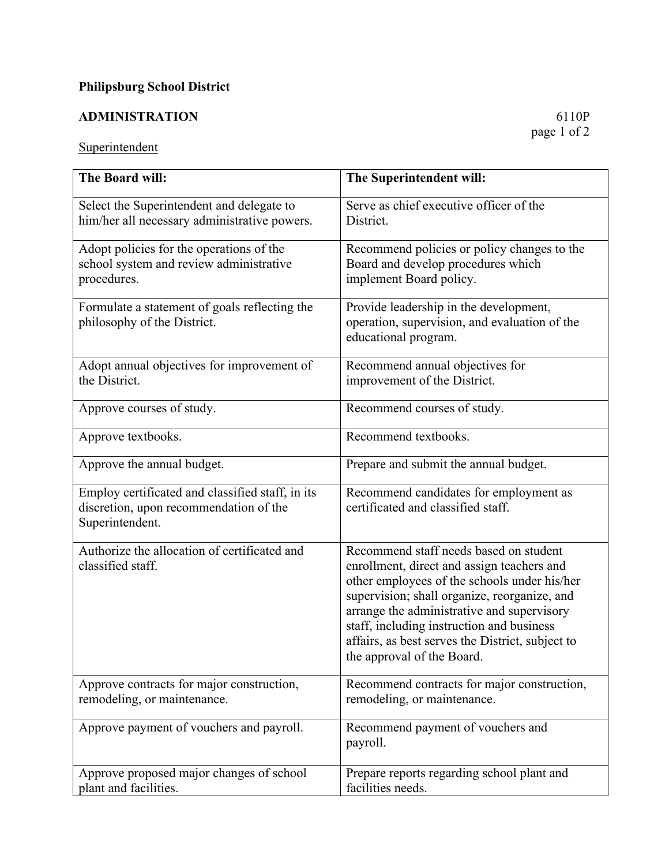# **Philipsburg School District**

# **ADMINISTRATION** 6110P

## **Superintendent**

| The Board will:                                                                                               | The Superintendent will:                                                                                                                                                                                                                                                                                                                                          |
|---------------------------------------------------------------------------------------------------------------|-------------------------------------------------------------------------------------------------------------------------------------------------------------------------------------------------------------------------------------------------------------------------------------------------------------------------------------------------------------------|
| Select the Superintendent and delegate to<br>him/her all necessary administrative powers.                     | Serve as chief executive officer of the<br>District.                                                                                                                                                                                                                                                                                                              |
| Adopt policies for the operations of the<br>school system and review administrative<br>procedures.            | Recommend policies or policy changes to the<br>Board and develop procedures which<br>implement Board policy.                                                                                                                                                                                                                                                      |
| Formulate a statement of goals reflecting the<br>philosophy of the District.                                  | Provide leadership in the development,<br>operation, supervision, and evaluation of the<br>educational program.                                                                                                                                                                                                                                                   |
| Adopt annual objectives for improvement of<br>the District.                                                   | Recommend annual objectives for<br>improvement of the District.                                                                                                                                                                                                                                                                                                   |
| Approve courses of study.                                                                                     | Recommend courses of study.                                                                                                                                                                                                                                                                                                                                       |
| Approve textbooks.                                                                                            | Recommend textbooks.                                                                                                                                                                                                                                                                                                                                              |
| Approve the annual budget.                                                                                    | Prepare and submit the annual budget.                                                                                                                                                                                                                                                                                                                             |
| Employ certificated and classified staff, in its<br>discretion, upon recommendation of the<br>Superintendent. | Recommend candidates for employment as<br>certificated and classified staff.                                                                                                                                                                                                                                                                                      |
| Authorize the allocation of certificated and<br>classified staff.                                             | Recommend staff needs based on student<br>enrollment, direct and assign teachers and<br>other employees of the schools under his/her<br>supervision; shall organize, reorganize, and<br>arrange the administrative and supervisory<br>staff, including instruction and business<br>affairs, as best serves the District, subject to<br>the approval of the Board. |
| Approve contracts for major construction,<br>remodeling, or maintenance.                                      | Recommend contracts for major construction,<br>remodeling, or maintenance.                                                                                                                                                                                                                                                                                        |
|                                                                                                               |                                                                                                                                                                                                                                                                                                                                                                   |
| Approve payment of vouchers and payroll.                                                                      | Recommend payment of vouchers and<br>payroll.                                                                                                                                                                                                                                                                                                                     |
| Approve proposed major changes of school<br>plant and facilities.                                             | Prepare reports regarding school plant and<br>facilities needs.                                                                                                                                                                                                                                                                                                   |

page 1 of 2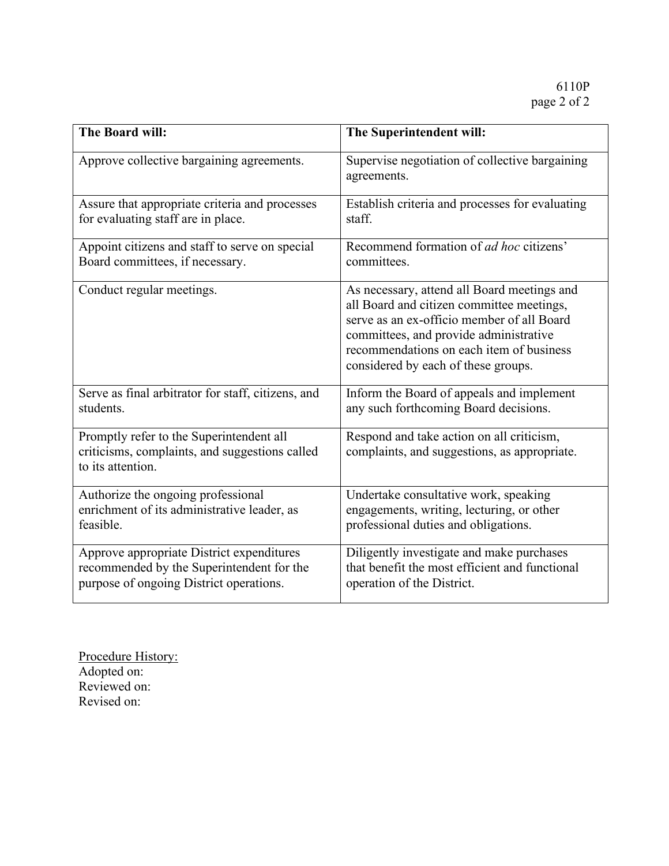| The Board will:                                                                                                 | The Superintendent will:                                                                                                                                                                                                                                            |
|-----------------------------------------------------------------------------------------------------------------|---------------------------------------------------------------------------------------------------------------------------------------------------------------------------------------------------------------------------------------------------------------------|
| Approve collective bargaining agreements.                                                                       | Supervise negotiation of collective bargaining<br>agreements.                                                                                                                                                                                                       |
| Assure that appropriate criteria and processes                                                                  | Establish criteria and processes for evaluating                                                                                                                                                                                                                     |
| for evaluating staff are in place.                                                                              | staff.                                                                                                                                                                                                                                                              |
| Appoint citizens and staff to serve on special                                                                  | Recommend formation of <i>ad hoc</i> citizens'                                                                                                                                                                                                                      |
| Board committees, if necessary.                                                                                 | committees.                                                                                                                                                                                                                                                         |
| Conduct regular meetings.                                                                                       | As necessary, attend all Board meetings and<br>all Board and citizen committee meetings,<br>serve as an ex-officio member of all Board<br>committees, and provide administrative<br>recommendations on each item of business<br>considered by each of these groups. |
| Serve as final arbitrator for staff, citizens, and                                                              | Inform the Board of appeals and implement                                                                                                                                                                                                                           |
| students.                                                                                                       | any such forthcoming Board decisions.                                                                                                                                                                                                                               |
| Promptly refer to the Superintendent all<br>criticisms, complaints, and suggestions called<br>to its attention. | Respond and take action on all criticism,<br>complaints, and suggestions, as appropriate.                                                                                                                                                                           |
| Authorize the ongoing professional                                                                              | Undertake consultative work, speaking                                                                                                                                                                                                                               |
| enrichment of its administrative leader, as                                                                     | engagements, writing, lecturing, or other                                                                                                                                                                                                                           |
| feasible.                                                                                                       | professional duties and obligations.                                                                                                                                                                                                                                |
| Approve appropriate District expenditures                                                                       | Diligently investigate and make purchases                                                                                                                                                                                                                           |
| recommended by the Superintendent for the                                                                       | that benefit the most efficient and functional                                                                                                                                                                                                                      |
| purpose of ongoing District operations.                                                                         | operation of the District.                                                                                                                                                                                                                                          |

Procedure History: Adopted on: Reviewed on: Revised on: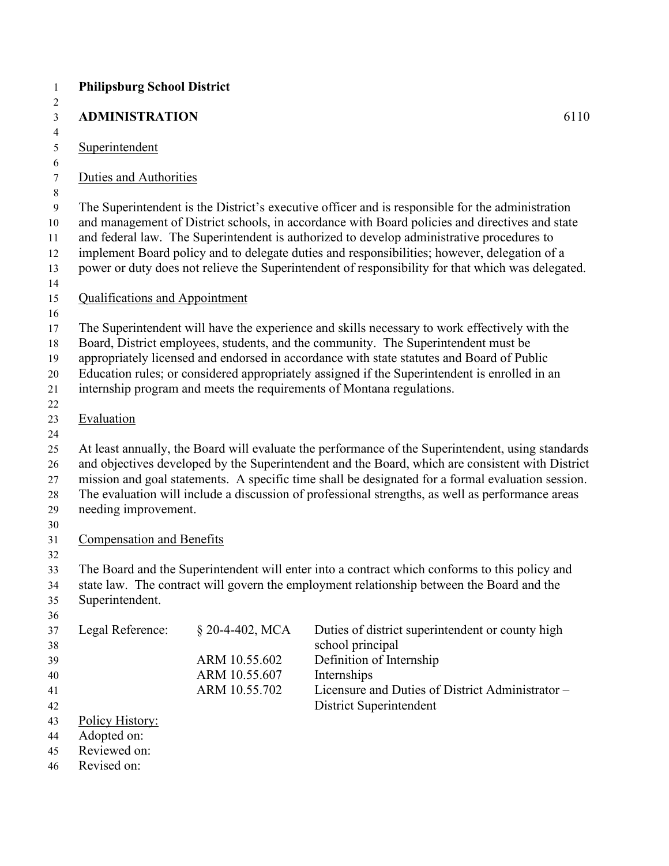| <b>Philipsburg School District</b>    |                                |                                                                                                                                                                                                                                                                                                                                                                                                                                                                                                      |
|---------------------------------------|--------------------------------|------------------------------------------------------------------------------------------------------------------------------------------------------------------------------------------------------------------------------------------------------------------------------------------------------------------------------------------------------------------------------------------------------------------------------------------------------------------------------------------------------|
| <b>ADMINISTRATION</b>                 |                                | 6110                                                                                                                                                                                                                                                                                                                                                                                                                                                                                                 |
| Superintendent                        |                                |                                                                                                                                                                                                                                                                                                                                                                                                                                                                                                      |
| Duties and Authorities                |                                |                                                                                                                                                                                                                                                                                                                                                                                                                                                                                                      |
|                                       |                                | The Superintendent is the District's executive officer and is responsible for the administration<br>and management of District schools, in accordance with Board policies and directives and state<br>and federal law. The Superintendent is authorized to develop administrative procedures to<br>implement Board policy and to delegate duties and responsibilities; however, delegation of a<br>power or duty does not relieve the Superintendent of responsibility for that which was delegated. |
| <b>Qualifications and Appointment</b> |                                |                                                                                                                                                                                                                                                                                                                                                                                                                                                                                                      |
|                                       |                                | The Superintendent will have the experience and skills necessary to work effectively with the<br>Board, District employees, students, and the community. The Superintendent must be<br>appropriately licensed and endorsed in accordance with state statutes and Board of Public<br>Education rules; or considered appropriately assigned if the Superintendent is enrolled in an<br>internship program and meets the requirements of Montana regulations.                                           |
| Evaluation                            |                                |                                                                                                                                                                                                                                                                                                                                                                                                                                                                                                      |
| needing improvement.                  |                                | At least annually, the Board will evaluate the performance of the Superintendent, using standards<br>and objectives developed by the Superintendent and the Board, which are consistent with District<br>mission and goal statements. A specific time shall be designated for a formal evaluation session.<br>The evaluation will include a discussion of professional strengths, as well as performance areas                                                                                       |
| <b>Compensation and Benefits</b>      |                                |                                                                                                                                                                                                                                                                                                                                                                                                                                                                                                      |
| Superintendent.                       |                                | The Board and the Superintendent will enter into a contract which conforms to this policy and<br>state law. The contract will govern the employment relationship between the Board and the                                                                                                                                                                                                                                                                                                           |
| Legal Reference:                      | § 20-4-402, MCA                | Duties of district superintendent or county high<br>school principal                                                                                                                                                                                                                                                                                                                                                                                                                                 |
|                                       | ARM 10.55.602                  | Definition of Internship                                                                                                                                                                                                                                                                                                                                                                                                                                                                             |
|                                       | ARM 10.55.607<br>ARM 10.55.702 | Internships<br>Licensure and Duties of District Administrator -                                                                                                                                                                                                                                                                                                                                                                                                                                      |
| Policy History:                       |                                | District Superintendent                                                                                                                                                                                                                                                                                                                                                                                                                                                                              |
| Adopted on:                           |                                |                                                                                                                                                                                                                                                                                                                                                                                                                                                                                                      |
| Reviewed on:                          |                                |                                                                                                                                                                                                                                                                                                                                                                                                                                                                                                      |
| Revised on:                           |                                |                                                                                                                                                                                                                                                                                                                                                                                                                                                                                                      |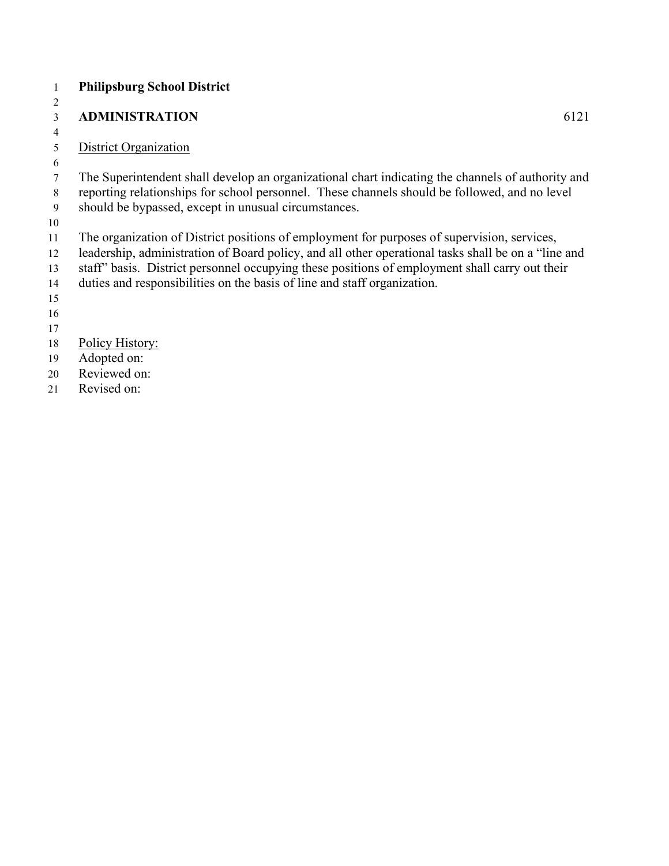#### **Philipsburg School District**

#### **ADMINISTRATION** 6121

### District Organization

 The Superintendent shall develop an organizational chart indicating the channels of authority and reporting relationships for school personnel. These channels should be followed, and no level should be bypassed, except in unusual circumstances.

The organization of District positions of employment for purposes of supervision, services,

leadership, administration of Board policy, and all other operational tasks shall be on a "line and

- staff" basis. District personnel occupying these positions of employment shall carry out their
- duties and responsibilities on the basis of line and staff organization.

- 
- Policy History:
- Adopted on:
- Reviewed on:
- Revised on: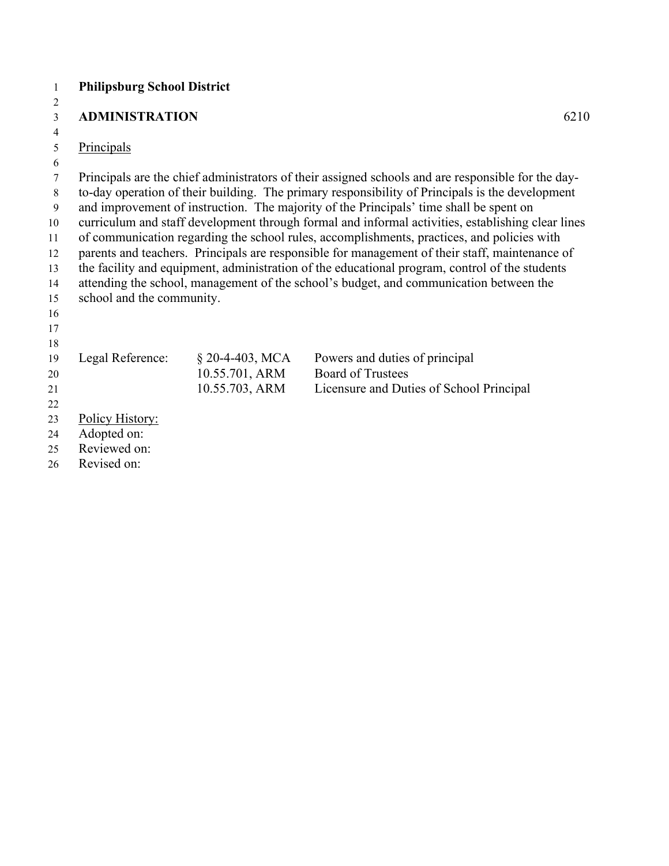#### **Philipsburg School District**

#### **ADMINISTRATION** 6210

#### Principals

 Principals are the chief administrators of their assigned schools and are responsible for the day- to-day operation of their building. The primary responsibility of Principals is the development and improvement of instruction. The majority of the Principals' time shall be spent on curriculum and staff development through formal and informal activities, establishing clear lines of communication regarding the school rules, accomplishments, practices, and policies with parents and teachers. Principals are responsible for management of their staff, maintenance of the facility and equipment, administration of the educational program, control of the students attending the school, management of the school's budget, and communication between the school and the community. Legal Reference: § 20-4-403, MCA Powers and duties of principal 10.55.701, ARM Board of Trustees 10.55.703, ARM Licensure and Duties of School Principal Policy History: Adopted on: Reviewed on:

Revised on: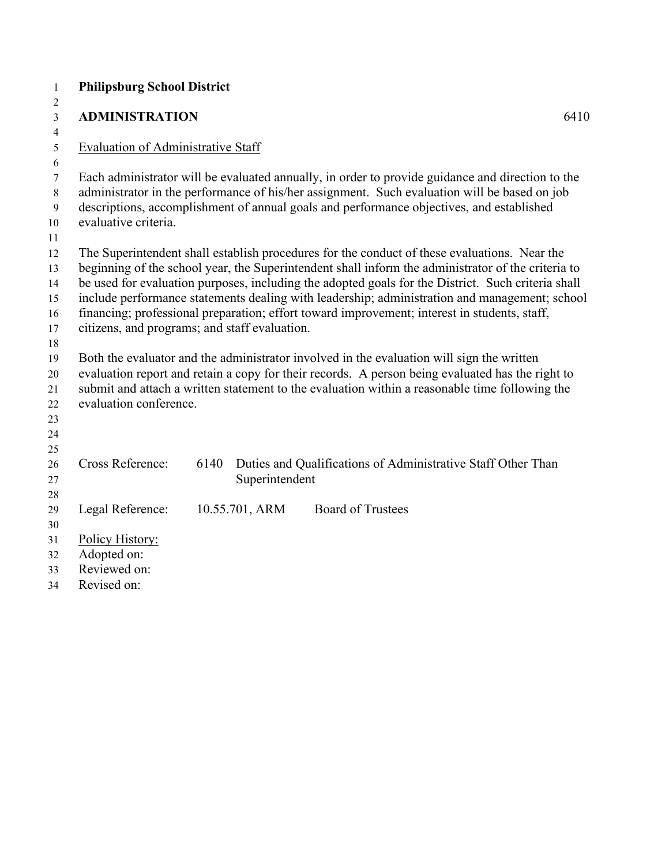| $\mathbf{1}$   | <b>Philipsburg School District</b>            |      |                |                                                                                                    |  |
|----------------|-----------------------------------------------|------|----------------|----------------------------------------------------------------------------------------------------|--|
| 2              |                                               |      |                |                                                                                                    |  |
| $\mathfrak{Z}$ | <b>ADMINISTRATION</b>                         |      |                | 6410                                                                                               |  |
| $\overline{4}$ |                                               |      |                |                                                                                                    |  |
| 5              | <b>Evaluation of Administrative Staff</b>     |      |                |                                                                                                    |  |
| 6              |                                               |      |                |                                                                                                    |  |
| $\tau$         |                                               |      |                | Each administrator will be evaluated annually, in order to provide guidance and direction to the   |  |
| 8              |                                               |      |                | administrator in the performance of his/her assignment. Such evaluation will be based on job       |  |
| 9              | evaluative criteria.                          |      |                | descriptions, accomplishment of annual goals and performance objectives, and established           |  |
| 10<br>11       |                                               |      |                |                                                                                                    |  |
| 12             |                                               |      |                | The Superintendent shall establish procedures for the conduct of these evaluations. Near the       |  |
| 13             |                                               |      |                | beginning of the school year, the Superintendent shall inform the administrator of the criteria to |  |
| 14             |                                               |      |                | be used for evaluation purposes, including the adopted goals for the District. Such criteria shall |  |
| 15             |                                               |      |                | include performance statements dealing with leadership; administration and management; school      |  |
| 16             |                                               |      |                | financing; professional preparation; effort toward improvement; interest in students, staff,       |  |
| 17             | citizens, and programs; and staff evaluation. |      |                |                                                                                                    |  |
| 18             |                                               |      |                |                                                                                                    |  |
| 19             |                                               |      |                | Both the evaluator and the administrator involved in the evaluation will sign the written          |  |
| 20             |                                               |      |                | evaluation report and retain a copy for their records. A person being evaluated has the right to   |  |
| 21             |                                               |      |                | submit and attach a written statement to the evaluation within a reasonable time following the     |  |
| 22             | evaluation conference.                        |      |                |                                                                                                    |  |
| 23             |                                               |      |                |                                                                                                    |  |
| 24             |                                               |      |                |                                                                                                    |  |
| 25             |                                               |      |                |                                                                                                    |  |
| 26             | <b>Cross Reference:</b>                       | 6140 |                | Duties and Qualifications of Administrative Staff Other Than                                       |  |
| 27             |                                               |      | Superintendent |                                                                                                    |  |
| 28             |                                               |      |                |                                                                                                    |  |
| 29             | Legal Reference:                              |      | 10.55.701, ARM | <b>Board of Trustees</b>                                                                           |  |
| 30             |                                               |      |                |                                                                                                    |  |
| 31             | Policy History:                               |      |                |                                                                                                    |  |
| 32<br>33       | Adopted on:<br>Reviewed on:                   |      |                |                                                                                                    |  |
| 34             | Revised on:                                   |      |                |                                                                                                    |  |
|                |                                               |      |                |                                                                                                    |  |